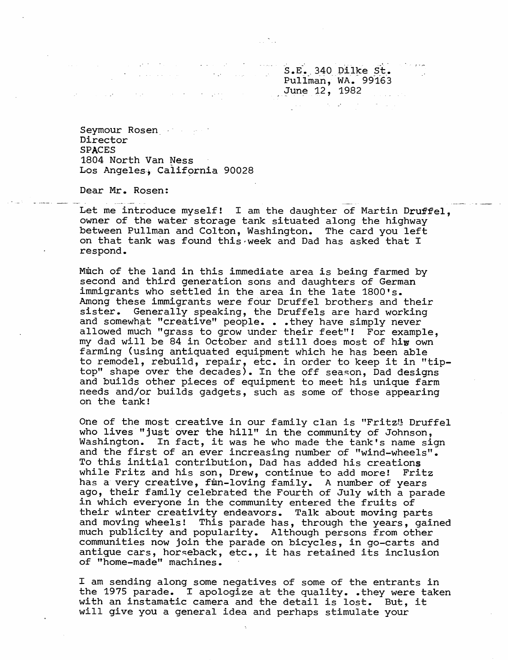S.E. 340 DIIKE ST. Pullman, wA. 99163  $J$ une  $12$ , 1982

Seymour Rosen and the set Director SPACES 1804 North Van Ness Los Angeles, California 90028

 $\mathcal{A}(\mathcal{G})$  and

Dear Mr. Rosen:

Let me introduce myself! I am the daughter of Martin Druffel, owner of the water storage tank situated along the highway between Pullman and Colton, Washington. The card you left on that tank was found this week and Dad has asked that I respond.

Much of the land in this immediate area is being farmed by second and third generation sons and daughters of German immigrants who settled in the area in the late 1800's. Among these immigrants were four Druffel brothers and their sister. Generally speaking, the Druffels are hard working and somewhat "creative" people. . . they have simply never allowed much "grass to grow under their feet"! For example. my dad will be 84 in October and still does most of hiw own farming (using antiquated equipment which he has been able to remodel, rebuild, repair, etc. in order to keep it in "tiptop" shape over the decades). In the off season, Dad designs and builds other pieces of equipment to meet his unique farm needs and/or builds gadgets, such as some of those appearing on the tank!

One of the most creative in our family clan is "Fritz" Druffel who lives "just over the hill" in the community of Johnson, Washington. In fact, it was he who made the tank's name sign and the first of an ever increasing number of "wind-wheels". To this initial contribution, Dad has added his creations while Fritz and his son, Drew, continue to add more! Fritz has a very creative, finn-loving family. A number of years ago, their family celebrated the Fourth of July with a parade in which everyone in the community entered the fruits of their winter creativity endeavors. Talk about moving parts and moving wheels! This parade has, through the years, gained much publicity and popularity. Although persons from other communities now join the parade on bicycles, in go-carts and antigue cars, horseback, etc., it has retained its inclusion of "home-made" machines.

I am sending along some negatives of some of the entrants in the 1975 parade. I apologize at the quality. . they were taken with an instamatic camera and the detail is lost. But, it will give you a general idea and perhaps stimulate your